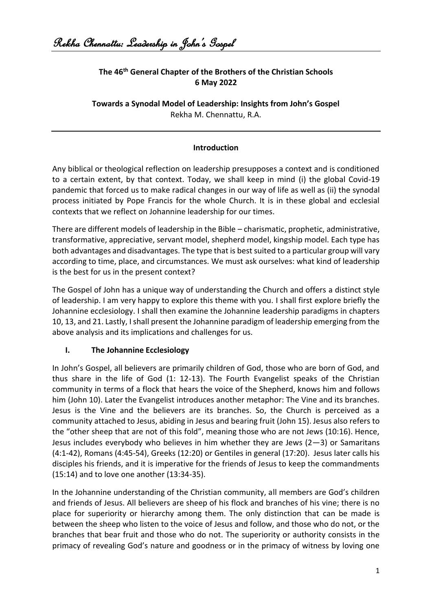# **The 46th General Chapter of the Brothers of the Christian Schools 6 May 2022**

**Towards a Synodal Model of Leadership: Insights from John's Gospel**  Rekha M. Chennattu, R.A.

## **Introduction**

Any biblical or theological reflection on leadership presupposes a context and is conditioned to a certain extent, by that context. Today, we shall keep in mind (i) the global Covid-19 pandemic that forced us to make radical changes in our way of life as well as (ii) the synodal process initiated by Pope Francis for the whole Church. It is in these global and ecclesial contexts that we reflect on Johannine leadership for our times.

There are different models of leadership in the Bible – charismatic, prophetic, administrative, transformative, appreciative, servant model, shepherd model, kingship model. Each type has both advantages and disadvantages. The type that is best suited to a particular group will vary according to time, place, and circumstances. We must ask ourselves: what kind of leadership is the best for us in the present context?

The Gospel of John has a unique way of understanding the Church and offers a distinct style of leadership. I am very happy to explore this theme with you. I shall first explore briefly the Johannine ecclesiology. I shall then examine the Johannine leadership paradigms in chapters 10, 13, and 21. Lastly, I shall present the Johannine paradigm of leadership emerging from the above analysis and its implications and challenges for us.

#### **I. The Johannine Ecclesiology**

In John's Gospel, all believers are primarily children of God, those who are born of God, and thus share in the life of God (1: 12-13). The Fourth Evangelist speaks of the Christian community in terms of a flock that hears the voice of the Shepherd, knows him and follows him (John 10). Later the Evangelist introduces another metaphor: The Vine and its branches. Jesus is the Vine and the believers are its branches. So, the Church is perceived as a community attached to Jesus, abiding in Jesus and bearing fruit (John 15). Jesus also refers to the "other sheep that are not of this fold", meaning those who are not Jews (10:16). Hence, Jesus includes everybody who believes in him whether they are Jews  $(2-3)$  or Samaritans (4:1-42), Romans (4:45-54), Greeks (12:20) or Gentiles in general (17:20). Jesus later calls his disciples his friends, and it is imperative for the friends of Jesus to keep the commandments (15:14) and to love one another (13:34-35).

In the Johannine understanding of the Christian community, all members are God's children and friends of Jesus. All believers are sheep of his flock and branches of his vine; there is no place for superiority or hierarchy among them. The only distinction that can be made is between the sheep who listen to the voice of Jesus and follow, and those who do not, or the branches that bear fruit and those who do not. The superiority or authority consists in the primacy of revealing God's nature and goodness or in the primacy of witness by loving one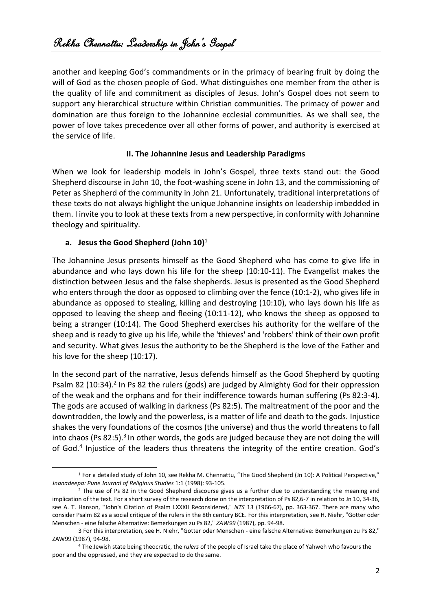another and keeping God's commandments or in the primacy of bearing fruit by doing the will of God as the chosen people of God. What distinguishes one member from the other is the quality of life and commitment as disciples of Jesus. John's Gospel does not seem to support any hierarchical structure within Christian communities. The primacy of power and domination are thus foreign to the Johannine ecclesial communities. As we shall see, the power of love takes precedence over all other forms of power, and authority is exercised at the service of life.

#### **II. The Johannine Jesus and Leadership Paradigms**

When we look for leadership models in John's Gospel, three texts stand out: the Good Shepherd discourse in John 10, the foot-washing scene in John 13, and the commissioning of Peter as Shepherd of the community in John 21. Unfortunately, traditional interpretations of these texts do not always highlight the unique Johannine insights on leadership imbedded in them. I invite you to look at these texts from a new perspective, in conformity with Johannine theology and spirituality.

# **a. Jesus the Good Shepherd (John 10)**<sup>1</sup>

The Johannine Jesus presents himself as the Good Shepherd who has come to give life in abundance and who lays down his life for the sheep (10:10-11). The Evangelist makes the distinction between Jesus and the false shepherds. Jesus is presented as the Good Shepherd who enters through the door as opposed to climbing over the fence (10:1-2), who gives life in abundance as opposed to stealing, killing and destroying (10:10), who lays down his life as opposed to leaving the sheep and fleeing (10:11-12), who knows the sheep as opposed to being a stranger (10:14). The Good Shepherd exercises his authority for the welfare of the sheep and is ready to give up his life, while the 'thieves' and 'robbers' think of their own profit and security. What gives Jesus the authority to be the Shepherd is the love of the Father and his love for the sheep (10:17).

In the second part of the narrative, Jesus defends himself as the Good Shepherd by quoting Psalm 82 (10:34).<sup>2</sup> In Ps 82 the rulers (gods) are judged by Almighty God for their oppression of the weak and the orphans and for their indifference towards human suffering (Ps 82:3-4). The gods are accused of walking in darkness (Ps 82:5). The maltreatment of the poor and the downtrodden, the lowly and the powerless, is a matter of life and death to the gods. Injustice shakes the very foundations of the cosmos (the universe) and thus the world threatens to fall into chaos (Ps 82:5).<sup>3</sup> In other words, the gods are judged because they are not doing the will of God.<sup>4</sup> Injustice of the leaders thus threatens the integrity of the entire creation. God's

<sup>1</sup> For a detailed study of John 10, see Rekha M. Chennattu, "The Good Shepherd (Jn 10): A Political Perspective," *Jnanadeepa: Pune Journal of Religious Studies* 1:1 (1998): 93-105.

<sup>&</sup>lt;sup>2</sup> The use of Ps 82 in the Good Shepherd discourse gives us a further clue to understanding the meaning and implication of the text. For a short survey of the research done on the interpretation of Ps 82,6-7 in relation to Jn 10, 34-36, see A. T. Hanson, "John's Citation of Psalm LXXXII Reconsidered," *NTS* 13 (1966-67), pp. 363-367. There are many who consider Psalm 82 as a social critique of the rulers in the 8th century BCE. For this interpretation, see H. Niehr, "Gotter oder Menschen - eine falsche Alternative: Bemerkungen zu Ps 82," *ZAW99* (1987), pp. 94-98.

<sup>3</sup> For this interpretation, see H. Niehr, "Gotter oder Menschen - eine falsche Alternative: Bemerkungen zu Ps 82," ZAW99 (1987), 94-98.

<sup>4</sup> The Jewish state being theocratic, the *rulers* of the people of Israel take the place of Yahweh who favours the poor and the oppressed, and they are expected to do the same.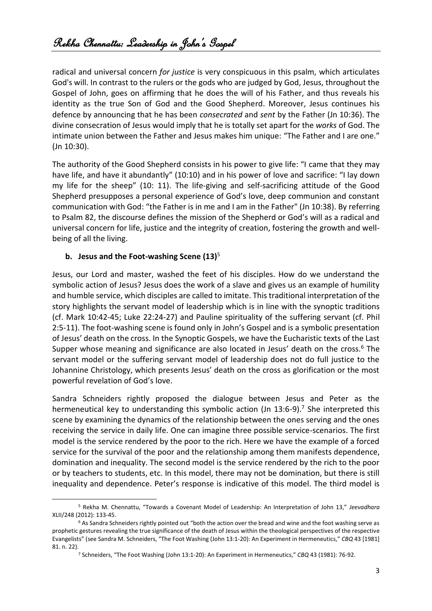radical and universal concern *for justice* is very conspicuous in this psalm, which articulates God's will. In contrast to the rulers or the gods who are judged by God, Jesus, throughout the Gospel of John, goes on affirming that he does the will of his Father, and thus reveals his identity as the true Son of God and the Good Shepherd. Moreover, Jesus continues his defence by announcing that he has been *consecrated* and *sent* by the Father (Jn 10:36). The divine consecration of Jesus would imply that he is totally set apart for the *works* of God. The intimate union between the Father and Jesus makes him unique: "The Father and I are one." (Jn 10:30).

The authority of the Good Shepherd consists in his power to give life: "I came that they may have life, and have it abundantly" (10:10) and in his power of love and sacrifice: "I lay down my life for the sheep" (10: 11). The life-giving and self-sacrificing attitude of the Good Shepherd presupposes a personal experience of God's love, deep communion and constant communication with God: "the Father is in me and I am in the Father" (Jn 10:38). By referring to Psalm 82, the discourse defines the mission of the Shepherd or God's will as a radical and universal concern for life, justice and the integrity of creation, fostering the growth and wellbeing of all the living.

#### **b. Jesus and the Foot-washing Scene (13)**<sup>5</sup>

Jesus, our Lord and master, washed the feet of his disciples. How do we understand the symbolic action of Jesus? Jesus does the work of a slave and gives us an example of humility and humble service, which disciples are called to imitate. This traditional interpretation of the story highlights the servant model of leadership which is in line with the synoptic traditions (cf. Mark 10:42-45; Luke 22:24-27) and Pauline spirituality of the suffering servant (cf. Phil 2:5-11). The foot-washing scene is found only in John's Gospel and is a symbolic presentation of Jesus' death on the cross. In the Synoptic Gospels, we have the Eucharistic texts of the Last Supper whose meaning and significance are also located in Jesus' death on the cross.<sup>6</sup> The servant model or the suffering servant model of leadership does not do full justice to the Johannine Christology, which presents Jesus' death on the cross as glorification or the most powerful revelation of God's love.

Sandra Schneiders rightly proposed the dialogue between Jesus and Peter as the hermeneutical key to understanding this symbolic action (Jn 13:6-9).<sup>7</sup> She interpreted this scene by examining the dynamics of the relationship between the ones serving and the ones receiving the service in daily life. One can imagine three possible service-scenarios. The first model is the service rendered by the poor to the rich. Here we have the example of a forced service for the survival of the poor and the relationship among them manifests dependence, domination and inequality. The second model is the service rendered by the rich to the poor or by teachers to students, etc. In this model, there may not be domination, but there is still inequality and dependence. Peter's response is indicative of this model. The third model is

<sup>5</sup> Rekha M. Chennattu, "Towards a Covenant Model of Leadership: An Interpretation of John 13," *Jeevadhara* XLII/248 (2012): 133-45.

<sup>6</sup> As Sandra Schneiders rightly pointed out "both the action over the bread and wine and the foot washing serve as prophetic gestures revealing the true significance of the death of Jesus within the theological perspectives of the respective Evangelists" (see Sandra M. Schneiders, "The Foot Washing (John 13:1-20): An Experiment in Hermeneutics," *CBQ* 43 [1981] 81. n. 22).

<sup>7</sup> Schneiders, "The Foot Washing (John 13:1-20): An Experiment in Hermeneutics," *CBQ* 43 (1981): 76-92.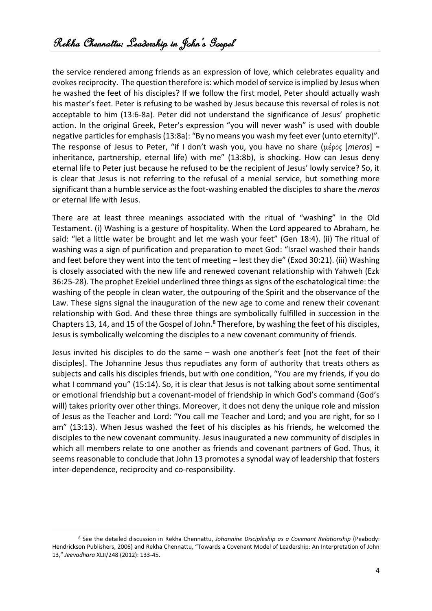the service rendered among friends as an expression of love, which celebrates equality and evokes reciprocity. The question therefore is: which model of service is implied by Jesus when he washed the feet of his disciples? If we follow the first model, Peter should actually wash his master's feet. Peter is refusing to be washed by Jesus because this reversal of roles is not acceptable to him (13:6-8a). Peter did not understand the significance of Jesus' prophetic action. In the original Greek, Peter's expression "you will never wash" is used with double negative particles for emphasis (13:8a): "By no means you wash my feet ever (unto eternity)". The response of Jesus to Peter, "if I don't wash you, you have no share (μέρος [*meros*] = inheritance, partnership, eternal life) with me" (13:8b), is shocking. How can Jesus deny eternal life to Peter just because he refused to be the recipient of Jesus' lowly service? So, it is clear that Jesus is not referring to the refusal of a menial service, but something more significant than a humble service as the foot-washing enabled the disciples to share the *meros* or eternal life with Jesus.

There are at least three meanings associated with the ritual of "washing" in the Old Testament. (i) Washing is a gesture of hospitality. When the Lord appeared to Abraham, he said: "let a little water be brought and let me wash your feet" (Gen 18:4). (ii) The ritual of washing was a sign of purification and preparation to meet God: "Israel washed their hands and feet before they went into the tent of meeting – lest they die" (Exod 30:21). (iii) Washing is closely associated with the new life and renewed covenant relationship with Yahweh (Ezk 36:25-28). The prophet Ezekiel underlined three things as signs of the eschatological time: the washing of the people in clean water, the outpouring of the Spirit and the observance of the Law. These signs signal the inauguration of the new age to come and renew their covenant relationship with God. And these three things are symbolically fulfilled in succession in the Chapters 13, 14, and 15 of the Gospel of John.<sup>8</sup> Therefore, by washing the feet of his disciples, Jesus is symbolically welcoming the disciples to a new covenant community of friends.

Jesus invited his disciples to do the same – wash one another's feet [not the feet of their disciples]. The Johannine Jesus thus repudiates any form of authority that treats others as subjects and calls his disciples friends, but with one condition, "You are my friends, if you do what I command you" (15:14). So, it is clear that Jesus is not talking about some sentimental or emotional friendship but a covenant-model of friendship in which God's command (God's will) takes priority over other things. Moreover, it does not deny the unique role and mission of Jesus as the Teacher and Lord: "You call me Teacher and Lord; and you are right, for so I am" (13:13). When Jesus washed the feet of his disciples as his friends, he welcomed the disciples to the new covenant community. Jesus inaugurated a new community of disciples in which all members relate to one another as friends and covenant partners of God. Thus, it seems reasonable to conclude that John 13 promotes a synodal way of leadership that fosters inter-dependence, reciprocity and co-responsibility.

<sup>8</sup> See the detailed discussion in Rekha Chennattu, *Johannine Discipleship as a Covenant Relationship* (Peabody: Hendrickson Publishers, 2006) and Rekha Chennattu, "Towards a Covenant Model of Leadership: An Interpretation of John 13," *Jeevadhara* XLII/248 (2012): 133-45.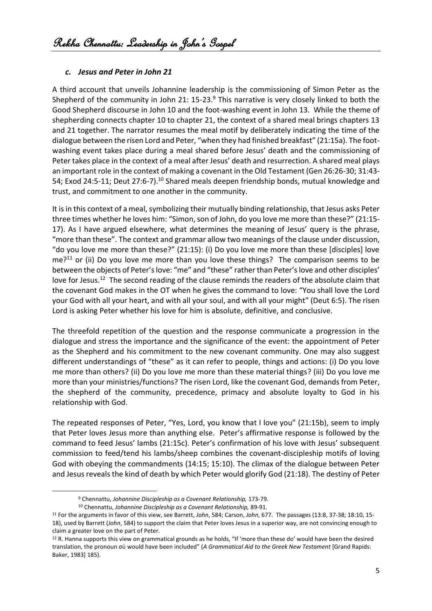#### *c. Jesus and Peter in John 21*

A third account that unveils Johannine leadership is the commissioning of Simon Peter as the Shepherd of the community in John 21:  $15-23.9$  This narrative is very closely linked to both the Good Shepherd discourse in John 10 and the foot-washing event in John 13. While the theme of shepherding connects chapter 10 to chapter 21, the context of a shared meal brings chapters 13 and 21 together. The narrator resumes the meal motif by deliberately indicating the time of the dialogue between the risen Lord and Peter, "when they had finished breakfast" (21:15a). The footwashing event takes place during a meal shared before Jesus' death and the commissioning of Peter takes place in the context of a meal after Jesus' death and resurrection. A shared meal plays an important role in the context of making a covenant in the Old Testament (Gen 26:26-30; 31:43- 54; Exod 24:5-11; Deut 27:6-7).<sup>10</sup> Shared meals deepen friendship bonds, mutual knowledge and trust, and commitment to one another in the community.

It is in this context of a meal, symbolizing their mutually binding relationship, that Jesus asks Peter three times whether he loves him: "Simon, son of John, do you love me more than these?" (21:15- 17). As I have argued elsewhere, what determines the meaning of Jesus' query is the phrase, "more than these". The context and grammar allow two meanings of the clause under discussion, "do you love me more than these?" (21:15): (i) Do you love me more than these [disciples] love  $me<sup>211</sup>$  or (ii) Do you love me more than you love these things? The comparison seems to be between the objects of Peter's love: "me" and "these" rather than Peter's love and other disciples' love for Jesus.<sup>12</sup> The second reading of the clause reminds the readers of the absolute claim that the covenant God makes in the OT when he gives the command to love: "You shall love the Lord your God with all your heart, and with all your soul, and with all your might" (Deut 6:5). The risen Lord is asking Peter whether his love for him is absolute, definitive, and conclusive.

The threefold repetition of the question and the response communicate a progression in the dialogue and stress the importance and the significance of the event: the appointment of Peter as the Shepherd and his commitment to the new covenant community. One may also suggest different understandings of "these" as it can refer to people, things and actions: (i) Do you love me more than others? (ii) Do you love me more than these material things? (iii) Do you love me more than your ministries/functions? The risen Lord, like the covenant God, demands from Peter, the shepherd of the community, precedence, primacy and absolute loyalty to God in his relationship with God.

The repeated responses of Peter, "Yes, Lord, you know that I love you" (21:15b), seem to imply that Peter loves Jesus more than anything else. Peter's affirmative response is followed by the command to feed Jesus' lambs (21:15c). Peter's confirmation of his love with Jesus' subsequent commission to feed/tend his lambs/sheep combines the covenant-discipleship motifs of loving God with obeying the commandments (14:15; 15:10). The climax of the dialogue between Peter and Jesus reveals the kind of death by which Peter would glorify God (21:18). The destiny of Peter

<sup>9</sup> Chennattu, *Johannine Discipleship as a Covenant Relationship,* 173-79.

<sup>10</sup> Chennattu, *Johannine Discipleship as a Covenant Relationship,* 89-91.

<sup>11</sup> For the arguments in favor of this view, see Barrett, *John*, 584; Carson, *John*, 677. The passages (13:8, 37-38; 18:10, 15- 18), used by Barrett (*John*, 584) to support the claim that Peter loves Jesus in a superior way, are not convincing enough to claim a greater love on the part of Peter.

<sup>&</sup>lt;sup>12</sup> R. Hanna supports this view on grammatical grounds as he holds, "If 'more than these do' would have been the desired translation, the pronoun σύ would have been included" (*A Grammatical Aid to the Greek New Testament* [Grand Rapids: Baker, 1983] 185).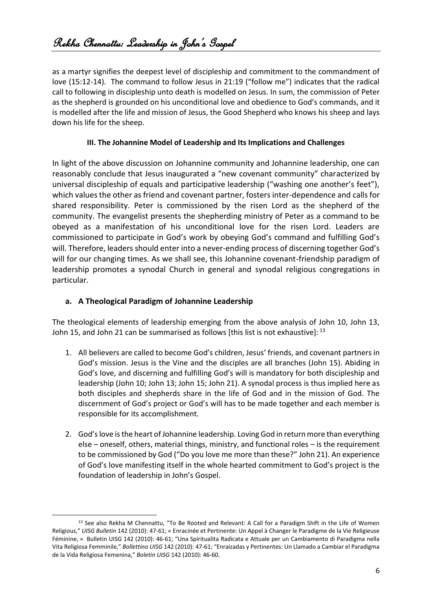as a martyr signifies the deepest level of discipleship and commitment to the commandment of love (15:12-14). The command to follow Jesus in 21:19 ("follow me") indicates that the radical call to following in discipleship unto death is modelled on Jesus. In sum, the commission of Peter as the shepherd is grounded on his unconditional love and obedience to God's commands, and it is modelled after the life and mission of Jesus, the Good Shepherd who knows his sheep and lays down his life for the sheep.

## **III. The Johannine Model of Leadership and Its Implications and Challenges**

In light of the above discussion on Johannine community and Johannine leadership, one can reasonably conclude that Jesus inaugurated a "new covenant community" characterized by universal discipleship of equals and participative leadership ("washing one another's feet"), which values the other as friend and covenant partner, fosters inter-dependence and calls for shared responsibility. Peter is commissioned by the risen Lord as the shepherd of the community. The evangelist presents the shepherding ministry of Peter as a command to be obeyed as a manifestation of his unconditional love for the risen Lord. Leaders are commissioned to participate in God's work by obeying God's command and fulfilling God's will. Therefore, leaders should enter into a never-ending process of discerning together God's will for our changing times. As we shall see, this Johannine covenant-friendship paradigm of leadership promotes a synodal Church in general and synodal religious congregations in particular.

#### **a. A Theological Paradigm of Johannine Leadership**

The theological elements of leadership emerging from the above analysis of John 10, John 13, John 15, and John 21 can be summarised as follows [this list is not exhaustive]: <sup>13</sup>

- 1. All believers are called to become God's children, Jesus' friends, and covenant partners in God's mission. Jesus is the Vine and the disciples are all branches (John 15). Abiding in God's love, and discerning and fulfilling God's will is mandatory for both discipleship and leadership (John 10; John 13; John 15; John 21). A synodal process is thus implied here as both disciples and shepherds share in the life of God and in the mission of God. The discernment of God's project or God's will has to be made together and each member is responsible for its accomplishment.
- 2. God's love is the heart of Johannine leadership. Loving God in return more than everything else – oneself, others, material things, ministry, and functional roles – is the requirement to be commissioned by God ("Do you love me more than these?" John 21). An experience of God's love manifesting itself in the whole hearted commitment to God's project is the foundation of leadership in John's Gospel.

<sup>&</sup>lt;sup>13</sup> See also Rekha M Chennattu, "To Be Rooted and Relevant: A Call for a Paradigm Shift in the Life of Women Religious," *UISG Bulletin* 142 (2010): 47-61; « Enracinée et Pertinente: Un Appel à Changer le Paradigme de la Vie Religieuse Féminine, » Bulletin UISG 142 (2010): 46-61; "Una Spiritualita Radicata e Attuale per un Cambiamento di Paradigma nella Vita Religiosa Femminile," *Bollettino UISG* 142 (2010): 47-61; "Enraizadas y Pertinentes: Un Llamado a Cambiar el Paradigma de la Vida Religiosa Femenina," *Boletin UISG* 142 (2010): 46-60.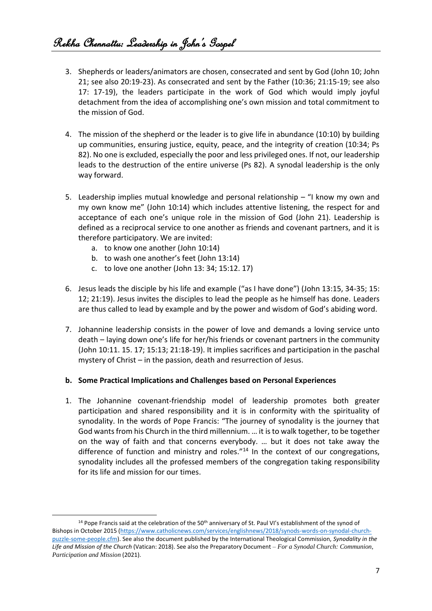- 3. Shepherds or leaders/animators are chosen, consecrated and sent by God (John 10; John 21; see also 20:19-23). As consecrated and sent by the Father (10:36; 21:15-19; see also 17: 17-19), the leaders participate in the work of God which would imply joyful detachment from the idea of accomplishing one's own mission and total commitment to the mission of God.
- 4. The mission of the shepherd or the leader is to give life in abundance (10:10) by building up communities, ensuring justice, equity, peace, and the integrity of creation (10:34; Ps 82). No one is excluded, especially the poor and less privileged ones. If not, our leadership leads to the destruction of the entire universe (Ps 82). A synodal leadership is the only way forward.
- 5. Leadership implies mutual knowledge and personal relationship "I know my own and my own know me" (John 10:14) which includes attentive listening, the respect for and acceptance of each one's unique role in the mission of God (John 21). Leadership is defined as a reciprocal service to one another as friends and covenant partners, and it is therefore participatory. We are invited:
	- a. to know one another (John 10:14)
	- b. to wash one another's feet (John 13:14)
	- c. to love one another (John 13: 34; 15:12. 17)
- 6. Jesus leads the disciple by his life and example ("as I have done") (John 13:15, 34-35; 15: 12; 21:19). Jesus invites the disciples to lead the people as he himself has done. Leaders are thus called to lead by example and by the power and wisdom of God's abiding word.
- 7. Johannine leadership consists in the power of love and demands a loving service unto death – laying down one's life for her/his friends or covenant partners in the community (John 10:11. 15. 17; 15:13; 21:18-19). It implies sacrifices and participation in the paschal mystery of Christ – in the passion, death and resurrection of Jesus.

#### **b. Some Practical Implications and Challenges based on Personal Experiences**

1. The Johannine covenant-friendship model of leadership promotes both greater participation and shared responsibility and it is in conformity with the spirituality of synodality. In the words of Pope Francis: "The journey of synodality is the journey that God wants from his Church in the third millennium. … it is to walk together, to be together on the way of faith and that concerns everybody. … but it does not take away the difference of function and ministry and roles."<sup>14</sup> In the context of our congregations, synodality includes all the professed members of the congregation taking responsibility for its life and mission for our times.

<sup>&</sup>lt;sup>14</sup> Pope Francis said at the celebration of the 50<sup>th</sup> anniversary of St. Paul VI's establishment of the synod of Bishops in October 2015 [\(https://www.catholicnews.com/services/englishnews/2018/synods-words-on-synodal-church](https://www.catholicnews.com/services/englishnews/2018/synods-words-on-synodal-church-puzzle-some-people.cfm)[puzzle-some-people.cfm\)](https://www.catholicnews.com/services/englishnews/2018/synods-words-on-synodal-church-puzzle-some-people.cfm). See also the document published by the International Theological Commission, *Synodality in the Life and Mission of the Church* (Vatican: 2018). See also the Preparatory Document – *For a Synodal Church: Communion, Participation and Mission* (2021).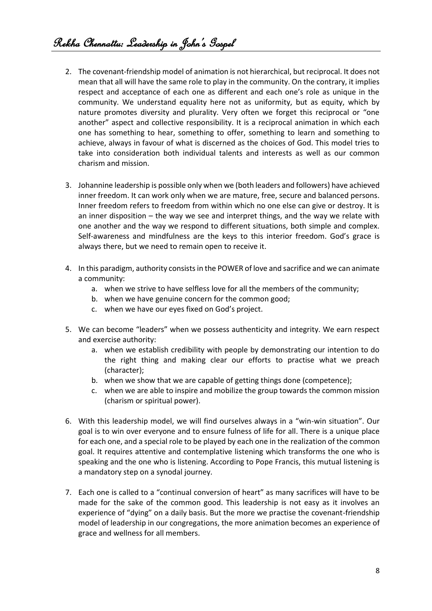- 2. The covenant-friendship model of animation is not hierarchical, but reciprocal. It does not mean that all will have the same role to play in the community. On the contrary, it implies respect and acceptance of each one as different and each one's role as unique in the community. We understand equality here not as uniformity, but as equity, which by nature promotes diversity and plurality. Very often we forget this reciprocal or "one another" aspect and collective responsibility. It is a reciprocal animation in which each one has something to hear, something to offer, something to learn and something to achieve, always in favour of what is discerned as the choices of God. This model tries to take into consideration both individual talents and interests as well as our common charism and mission.
- 3. Johannine leadership is possible only when we (both leaders and followers) have achieved inner freedom. It can work only when we are mature, free, secure and balanced persons. Inner freedom refers to freedom from within which no one else can give or destroy. It is an inner disposition – the way we see and interpret things, and the way we relate with one another and the way we respond to different situations, both simple and complex. Self-awareness and mindfulness are the keys to this interior freedom. God's grace is always there, but we need to remain open to receive it.
- 4. In this paradigm, authority consists in the POWER of love and sacrifice and we can animate a community:
	- a. when we strive to have selfless love for all the members of the community;
	- b. when we have genuine concern for the common good;
	- c. when we have our eyes fixed on God's project.
- 5. We can become "leaders" when we possess authenticity and integrity. We earn respect and exercise authority:
	- a. when we establish credibility with people by demonstrating our intention to do the right thing and making clear our efforts to practise what we preach (character);
	- b. when we show that we are capable of getting things done (competence);
	- c. when we are able to inspire and mobilize the group towards the common mission (charism or spiritual power).
- 6. With this leadership model, we will find ourselves always in a "win-win situation". Our goal is to win over everyone and to ensure fulness of life for all. There is a unique place for each one, and a special role to be played by each one in the realization of the common goal. It requires attentive and contemplative listening which transforms the one who is speaking and the one who is listening. According to Pope Francis, this mutual listening is a mandatory step on a synodal journey.
- 7. Each one is called to a "continual conversion of heart" as many sacrifices will have to be made for the sake of the common good. This leadership is not easy as it involves an experience of "dying" on a daily basis. But the more we practise the covenant-friendship model of leadership in our congregations, the more animation becomes an experience of grace and wellness for all members.